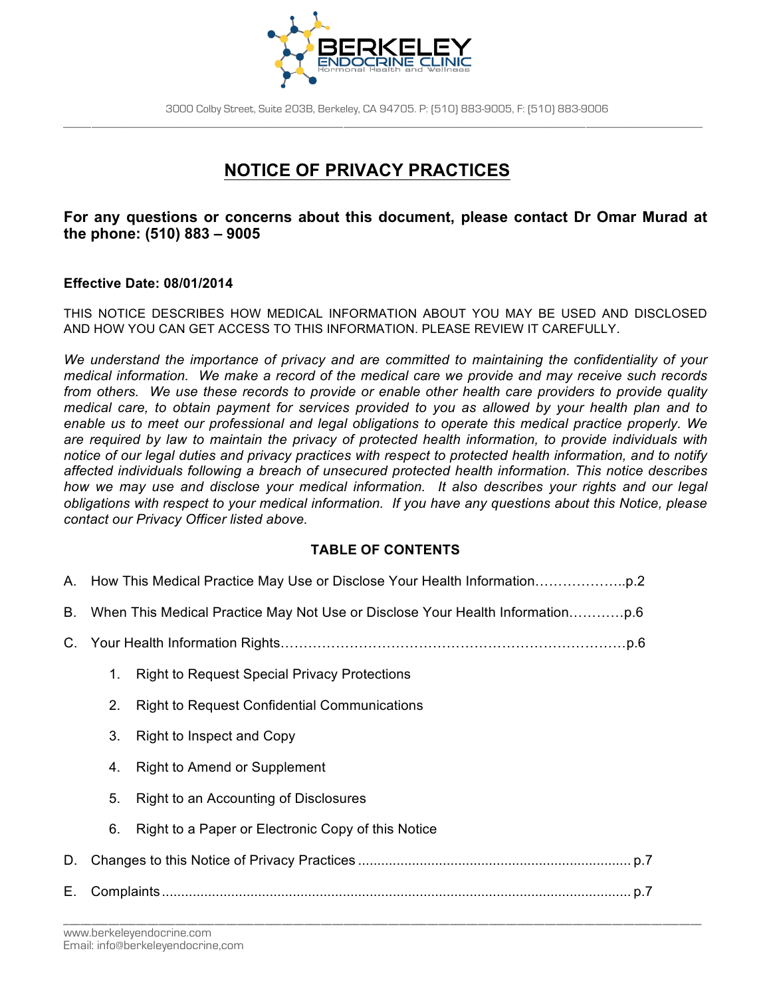

# **NOTICE OF PRIVACY PRACTICES**

## **For any questions or concerns about this document, please contact Dr Omar Murad at the phone: (510) 883 – 9005**

### **Effective Date: 08/01/2014**

THIS NOTICE DESCRIBES HOW MEDICAL INFORMATION ABOUT YOU MAY BE USED AND DISCLOSED AND HOW YOU CAN GET ACCESS TO THIS INFORMATION. PLEASE REVIEW IT CAREFULLY.

*We understand the importance of privacy and are committed to maintaining the confidentiality of your medical information. We make a record of the medical care we provide and may receive such records from others. We use these records to provide or enable other health care providers to provide quality medical care, to obtain payment for services provided to you as allowed by your health plan and to enable us to meet our professional and legal obligations to operate this medical practice properly. We are required by law to maintain the privacy of protected health information, to provide individuals with notice of our legal duties and privacy practices with respect to protected health information, and to notify affected individuals following a breach of unsecured protected health information. This notice describes how we may use and disclose your medical information. It also describes your rights and our legal obligations with respect to your medical information. If you have any questions about this Notice, please contact our Privacy Officer listed above.*

## **TABLE OF CONTENTS**

| Е. |    |                                                     |  |
|----|----|-----------------------------------------------------|--|
| D. |    |                                                     |  |
|    | 6. | Right to a Paper or Electronic Copy of this Notice  |  |
|    | 5. | Right to an Accounting of Disclosures               |  |
|    | 4. | <b>Right to Amend or Supplement</b>                 |  |
|    | 3. | Right to Inspect and Copy                           |  |
|    | 2. | <b>Right to Request Confidential Communications</b> |  |
|    | 1. | <b>Right to Request Special Privacy Protections</b> |  |
| C. |    |                                                     |  |
| В. |    |                                                     |  |
|    |    |                                                     |  |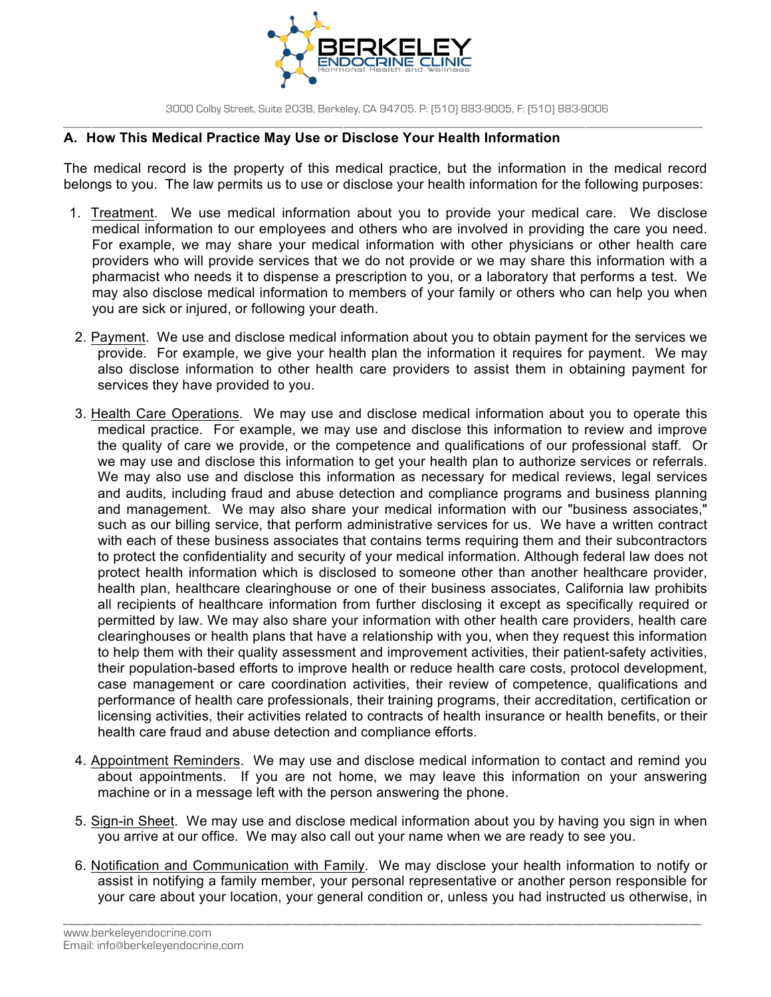

### **A. How This Medical Practice May Use or Disclose Your Health Information**

The medical record is the property of this medical practice, but the information in the medical record belongs to you. The law permits us to use or disclose your health information for the following purposes:

- 1. Treatment. We use medical information about you to provide your medical care. We disclose medical information to our employees and others who are involved in providing the care you need. For example, we may share your medical information with other physicians or other health care providers who will provide services that we do not provide or we may share this information with a pharmacist who needs it to dispense a prescription to you, or a laboratory that performs a test. We may also disclose medical information to members of your family or others who can help you when you are sick or injured, or following your death.
- 2. Payment. We use and disclose medical information about you to obtain payment for the services we provide. For example, we give your health plan the information it requires for payment. We may also disclose information to other health care providers to assist them in obtaining payment for services they have provided to you.
- 3. Health Care Operations. We may use and disclose medical information about you to operate this medical practice. For example, we may use and disclose this information to review and improve the quality of care we provide, or the competence and qualifications of our professional staff. Or we may use and disclose this information to get your health plan to authorize services or referrals. We may also use and disclose this information as necessary for medical reviews, legal services and audits, including fraud and abuse detection and compliance programs and business planning and management. We may also share your medical information with our "business associates," such as our billing service, that perform administrative services for us. We have a written contract with each of these business associates that contains terms requiring them and their subcontractors to protect the confidentiality and security of your medical information. Although federal law does not protect health information which is disclosed to someone other than another healthcare provider, health plan, healthcare clearinghouse or one of their business associates, California law prohibits all recipients of healthcare information from further disclosing it except as specifically required or permitted by law. We may also share your information with other health care providers, health care clearinghouses or health plans that have a relationship with you, when they request this information to help them with their quality assessment and improvement activities, their patient-safety activities, their population-based efforts to improve health or reduce health care costs, protocol development, case management or care coordination activities, their review of competence, qualifications and performance of health care professionals, their training programs, their accreditation, certification or licensing activities, their activities related to contracts of health insurance or health benefits, or their health care fraud and abuse detection and compliance efforts.
- 4. Appointment Reminders. We may use and disclose medical information to contact and remind you about appointments. If you are not home, we may leave this information on your answering machine or in a message left with the person answering the phone.
- 5. Sign-in Sheet. We may use and disclose medical information about you by having you sign in when you arrive at our office. We may also call out your name when we are ready to see you.
- 6. Notification and Communication with Family. We may disclose your health information to notify or assist in notifying a family member, your personal representative or another person responsible for your care about your location, your general condition or, unless you had instructed us otherwise, in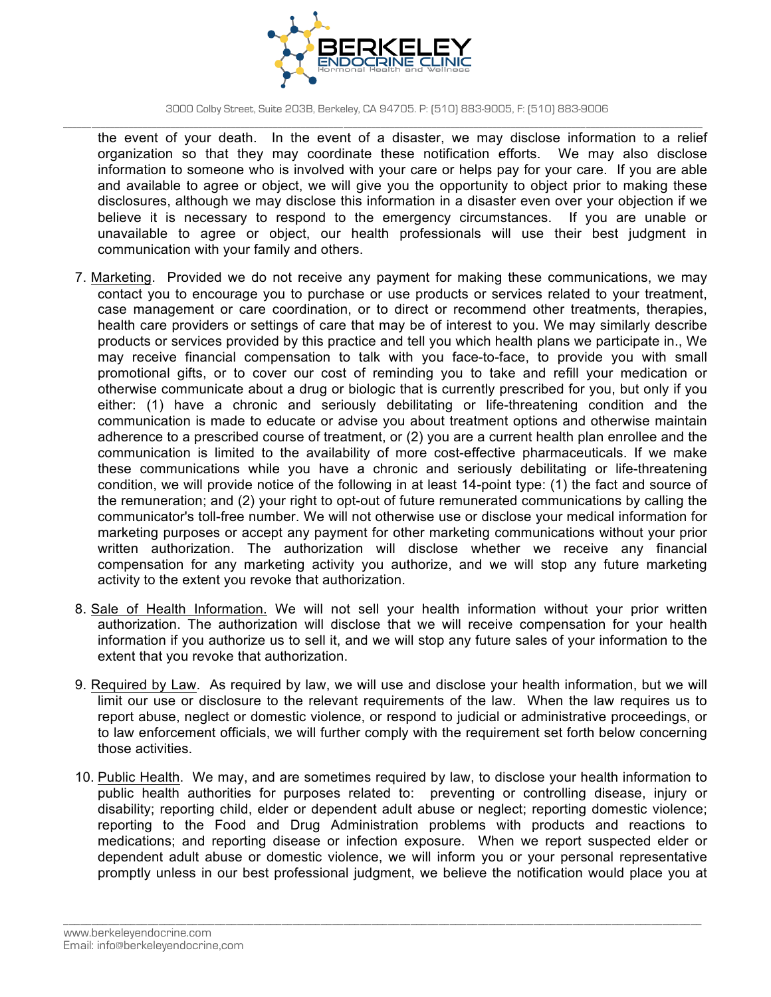

the event of your death. In the event of a disaster, we may disclose information to a relief organization so that they may coordinate these notification efforts. We may also disclose information to someone who is involved with your care or helps pay for your care. If you are able and available to agree or object, we will give you the opportunity to object prior to making these disclosures, although we may disclose this information in a disaster even over your objection if we believe it is necessary to respond to the emergency circumstances. If you are unable or unavailable to agree or object, our health professionals will use their best judgment in communication with your family and others.

- 7. Marketing. Provided we do not receive any payment for making these communications, we may contact you to encourage you to purchase or use products or services related to your treatment, case management or care coordination, or to direct or recommend other treatments, therapies, health care providers or settings of care that may be of interest to you. We may similarly describe products or services provided by this practice and tell you which health plans we participate in., We may receive financial compensation to talk with you face-to-face, to provide you with small promotional gifts, or to cover our cost of reminding you to take and refill your medication or otherwise communicate about a drug or biologic that is currently prescribed for you, but only if you either: (1) have a chronic and seriously debilitating or life-threatening condition and the communication is made to educate or advise you about treatment options and otherwise maintain adherence to a prescribed course of treatment, or (2) you are a current health plan enrollee and the communication is limited to the availability of more cost-effective pharmaceuticals. If we make these communications while you have a chronic and seriously debilitating or life-threatening condition, we will provide notice of the following in at least 14-point type: (1) the fact and source of the remuneration; and (2) your right to opt-out of future remunerated communications by calling the communicator's toll-free number. We will not otherwise use or disclose your medical information for marketing purposes or accept any payment for other marketing communications without your prior written authorization. The authorization will disclose whether we receive any financial compensation for any marketing activity you authorize, and we will stop any future marketing activity to the extent you revoke that authorization.
- 8. Sale of Health Information. We will not sell your health information without your prior written authorization. The authorization will disclose that we will receive compensation for your health information if you authorize us to sell it, and we will stop any future sales of your information to the extent that you revoke that authorization.
- 9. Required by Law. As required by law, we will use and disclose your health information, but we will limit our use or disclosure to the relevant requirements of the law. When the law requires us to report abuse, neglect or domestic violence, or respond to judicial or administrative proceedings, or to law enforcement officials, we will further comply with the requirement set forth below concerning those activities.
- 10. Public Health. We may, and are sometimes required by law, to disclose your health information to public health authorities for purposes related to: preventing or controlling disease, injury or disability; reporting child, elder or dependent adult abuse or neglect; reporting domestic violence; reporting to the Food and Drug Administration problems with products and reactions to medications; and reporting disease or infection exposure. When we report suspected elder or dependent adult abuse or domestic violence, we will inform you or your personal representative promptly unless in our best professional judgment, we believe the notification would place you at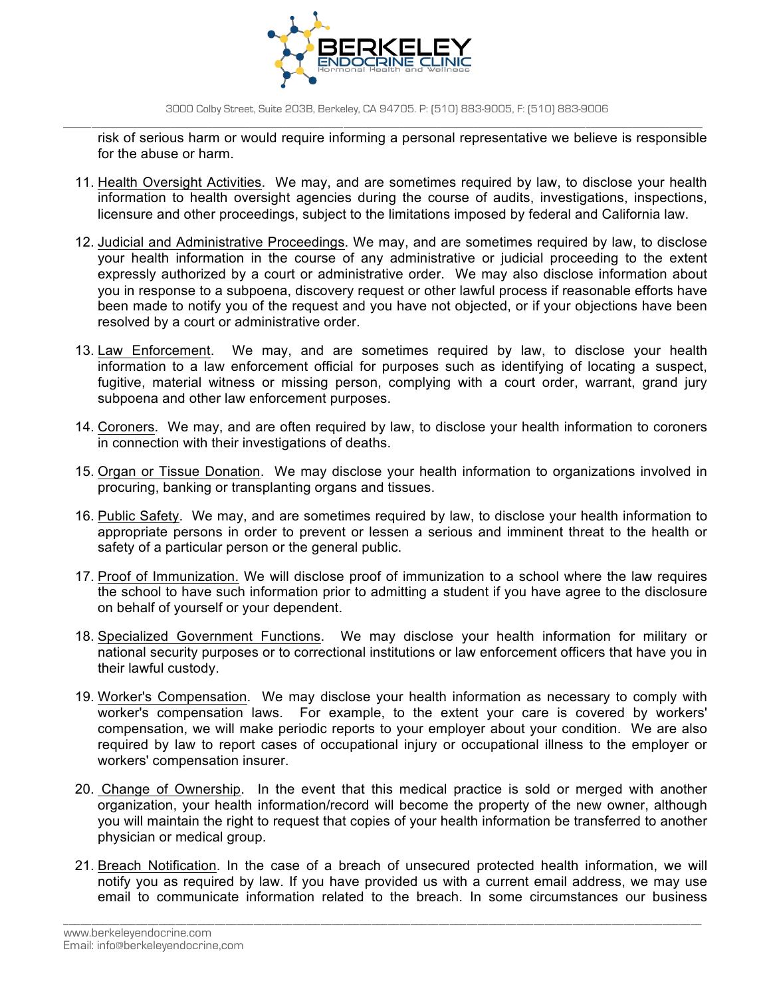

risk of serious harm or would require informing a personal representative we believe is responsible for the abuse or harm.

- 11. Health Oversight Activities. We may, and are sometimes required by law, to disclose your health information to health oversight agencies during the course of audits, investigations, inspections, licensure and other proceedings, subject to the limitations imposed by federal and California law.
- 12. Judicial and Administrative Proceedings. We may, and are sometimes required by law, to disclose your health information in the course of any administrative or judicial proceeding to the extent expressly authorized by a court or administrative order. We may also disclose information about you in response to a subpoena, discovery request or other lawful process if reasonable efforts have been made to notify you of the request and you have not objected, or if your objections have been resolved by a court or administrative order.
- 13. Law Enforcement. We may, and are sometimes required by law, to disclose your health information to a law enforcement official for purposes such as identifying of locating a suspect, fugitive, material witness or missing person, complying with a court order, warrant, grand jury subpoena and other law enforcement purposes.
- 14. Coroners. We may, and are often required by law, to disclose your health information to coroners in connection with their investigations of deaths.
- 15. Organ or Tissue Donation. We may disclose your health information to organizations involved in procuring, banking or transplanting organs and tissues.
- 16. Public Safety. We may, and are sometimes required by law, to disclose your health information to appropriate persons in order to prevent or lessen a serious and imminent threat to the health or safety of a particular person or the general public.
- 17. Proof of Immunization. We will disclose proof of immunization to a school where the law requires the school to have such information prior to admitting a student if you have agree to the disclosure on behalf of yourself or your dependent.
- 18. Specialized Government Functions. We may disclose your health information for military or national security purposes or to correctional institutions or law enforcement officers that have you in their lawful custody.
- 19. Worker's Compensation. We may disclose your health information as necessary to comply with worker's compensation laws. For example, to the extent your care is covered by workers' compensation, we will make periodic reports to your employer about your condition. We are also required by law to report cases of occupational injury or occupational illness to the employer or workers' compensation insurer.
- 20. Change of Ownership. In the event that this medical practice is sold or merged with another organization, your health information/record will become the property of the new owner, although you will maintain the right to request that copies of your health information be transferred to another physician or medical group.
- 21. Breach Notification. In the case of a breach of unsecured protected health information, we will notify you as required by law. If you have provided us with a current email address, we may use email to communicate information related to the breach. In some circumstances our business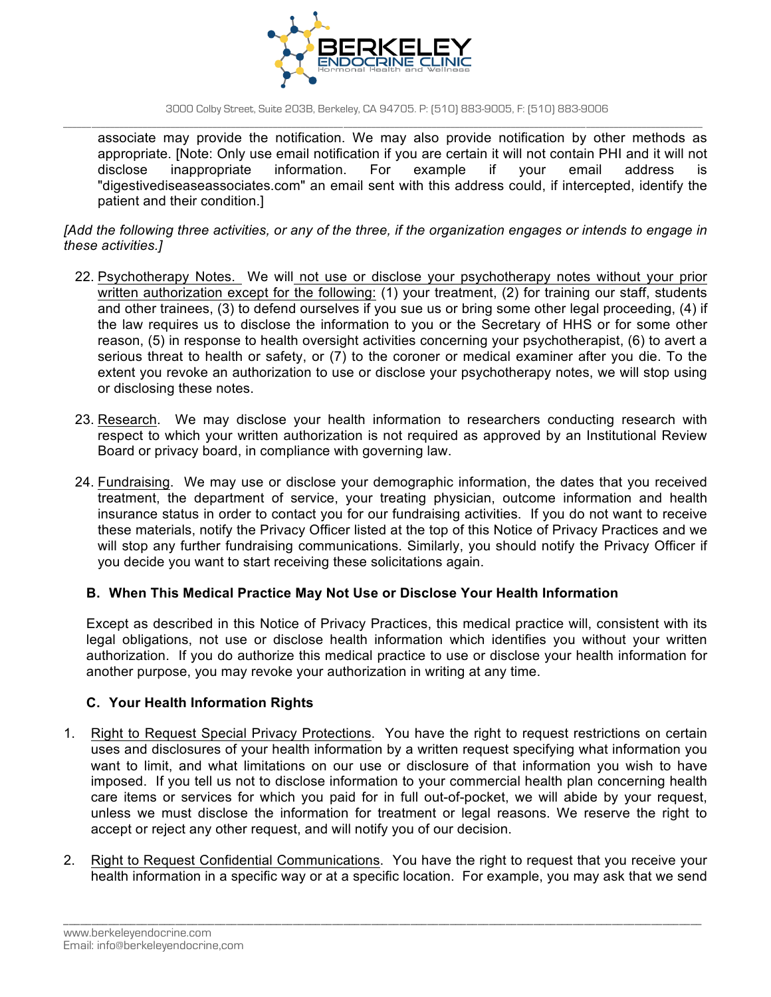

3000 Colby Street, Suite 203B, Berkeley, CA 94705. P: (510) 883-9005, F: (510) 883-9006

\_\_\_\_\_\_\_\_\_\_\_\_\_\_\_\_\_\_\_\_\_\_\_\_\_\_\_\_\_\_\_\_\_\_\_\_\_\_\_\_\_\_\_\_\_\_\_\_\_\_\_\_\_\_\_\_\_\_\_\_\_\_\_\_\_\_\_\_\_\_\_\_\_\_\_\_\_\_\_\_\_\_\_\_\_\_\_\_\_\_\_\_\_\_\_\_\_\_\_\_\_\_\_\_\_\_\_\_\_\_\_\_\_\_\_\_\_\_\_\_\_\_\_\_\_\_\_\_\_\_\_\_\_\_\_\_\_ associate may provide the notification. We may also provide notification by other methods as appropriate. [Note: Only use email notification if you are certain it will not contain PHI and it will not disclose inappropriate information. For example if your email address is "digestivediseaseassociates.com" an email sent with this address could, if intercepted, identify the patient and their condition.]

*[Add the following three activities, or any of the three, if the organization engages or intends to engage in these activities.]*

- 22. Psychotherapy Notes. We will not use or disclose your psychotherapy notes without your prior written authorization except for the following: (1) your treatment, (2) for training our staff, students and other trainees, (3) to defend ourselves if you sue us or bring some other legal proceeding, (4) if the law requires us to disclose the information to you or the Secretary of HHS or for some other reason, (5) in response to health oversight activities concerning your psychotherapist, (6) to avert a serious threat to health or safety, or (7) to the coroner or medical examiner after you die. To the extent you revoke an authorization to use or disclose your psychotherapy notes, we will stop using or disclosing these notes.
- 23. Research. We may disclose your health information to researchers conducting research with respect to which your written authorization is not required as approved by an Institutional Review Board or privacy board, in compliance with governing law.
- 24. Fundraising. We may use or disclose your demographic information, the dates that you received treatment, the department of service, your treating physician, outcome information and health insurance status in order to contact you for our fundraising activities. If you do not want to receive these materials, notify the Privacy Officer listed at the top of this Notice of Privacy Practices and we will stop any further fundraising communications. Similarly, you should notify the Privacy Officer if you decide you want to start receiving these solicitations again.

## **B. When This Medical Practice May Not Use or Disclose Your Health Information**

Except as described in this Notice of Privacy Practices, this medical practice will, consistent with its legal obligations, not use or disclose health information which identifies you without your written authorization. If you do authorize this medical practice to use or disclose your health information for another purpose, you may revoke your authorization in writing at any time.

#### **C. Your Health Information Rights**

- 1. Right to Request Special Privacy Protections. You have the right to request restrictions on certain uses and disclosures of your health information by a written request specifying what information you want to limit, and what limitations on our use or disclosure of that information you wish to have imposed. If you tell us not to disclose information to your commercial health plan concerning health care items or services for which you paid for in full out-of-pocket, we will abide by your request, unless we must disclose the information for treatment or legal reasons. We reserve the right to accept or reject any other request, and will notify you of our decision.
- 2. Right to Request Confidential Communications. You have the right to request that you receive your health information in a specific way or at a specific location. For example, you may ask that we send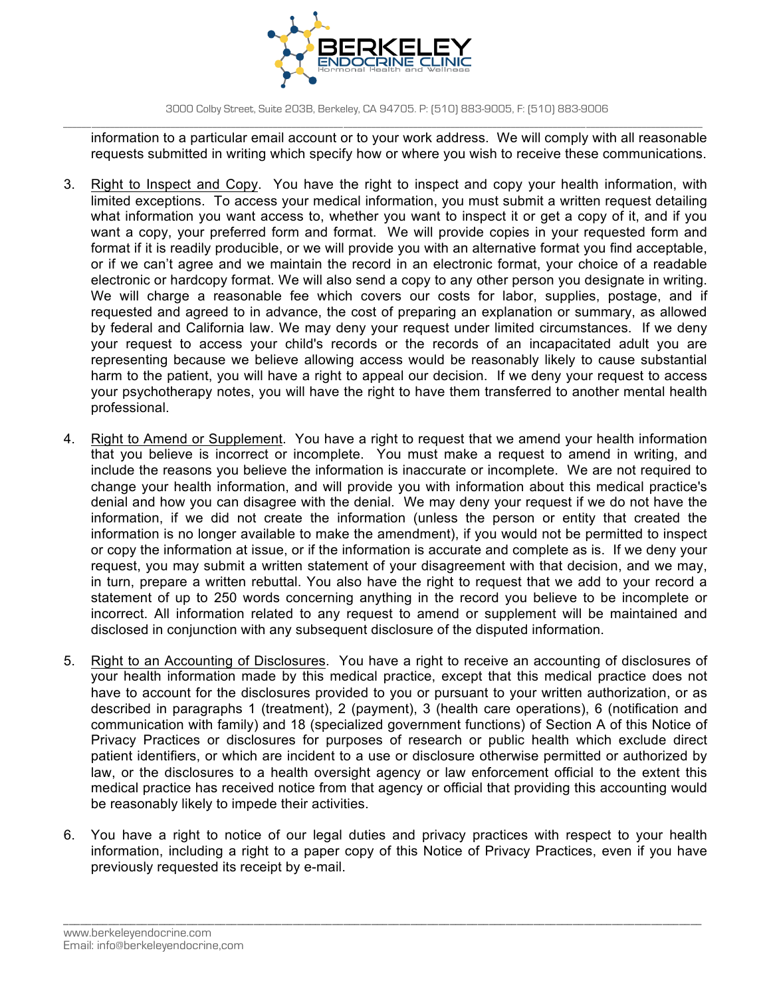

information to a particular email account or to your work address. We will comply with all reasonable requests submitted in writing which specify how or where you wish to receive these communications.

- 3. Right to Inspect and Copy. You have the right to inspect and copy your health information, with limited exceptions. To access your medical information, you must submit a written request detailing what information you want access to, whether you want to inspect it or get a copy of it, and if you want a copy, your preferred form and format. We will provide copies in your requested form and format if it is readily producible, or we will provide you with an alternative format you find acceptable, or if we can't agree and we maintain the record in an electronic format, your choice of a readable electronic or hardcopy format. We will also send a copy to any other person you designate in writing. We will charge a reasonable fee which covers our costs for labor, supplies, postage, and if requested and agreed to in advance, the cost of preparing an explanation or summary, as allowed by federal and California law. We may deny your request under limited circumstances. If we deny your request to access your child's records or the records of an incapacitated adult you are representing because we believe allowing access would be reasonably likely to cause substantial harm to the patient, you will have a right to appeal our decision. If we deny your request to access your psychotherapy notes, you will have the right to have them transferred to another mental health professional.
- 4. Right to Amend or Supplement. You have a right to request that we amend your health information that you believe is incorrect or incomplete. You must make a request to amend in writing, and include the reasons you believe the information is inaccurate or incomplete. We are not required to change your health information, and will provide you with information about this medical practice's denial and how you can disagree with the denial. We may deny your request if we do not have the information, if we did not create the information (unless the person or entity that created the information is no longer available to make the amendment), if you would not be permitted to inspect or copy the information at issue, or if the information is accurate and complete as is. If we deny your request, you may submit a written statement of your disagreement with that decision, and we may, in turn, prepare a written rebuttal. You also have the right to request that we add to your record a statement of up to 250 words concerning anything in the record you believe to be incomplete or incorrect. All information related to any request to amend or supplement will be maintained and disclosed in conjunction with any subsequent disclosure of the disputed information.
- 5. Right to an Accounting of Disclosures. You have a right to receive an accounting of disclosures of your health information made by this medical practice, except that this medical practice does not have to account for the disclosures provided to you or pursuant to your written authorization, or as described in paragraphs 1 (treatment), 2 (payment), 3 (health care operations), 6 (notification and communication with family) and 18 (specialized government functions) of Section A of this Notice of Privacy Practices or disclosures for purposes of research or public health which exclude direct patient identifiers, or which are incident to a use or disclosure otherwise permitted or authorized by law, or the disclosures to a health oversight agency or law enforcement official to the extent this medical practice has received notice from that agency or official that providing this accounting would be reasonably likely to impede their activities.
- 6. You have a right to notice of our legal duties and privacy practices with respect to your health information, including a right to a paper copy of this Notice of Privacy Practices, even if you have previously requested its receipt by e-mail.